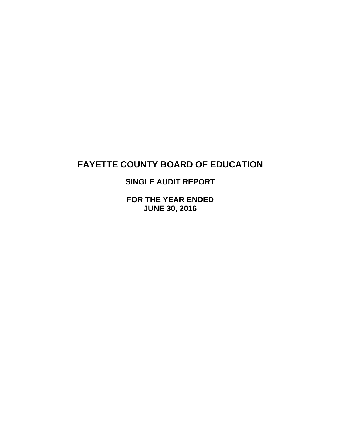**SINGLE AUDIT REPORT** 

**FOR THE YEAR ENDED JUNE 30, 2016**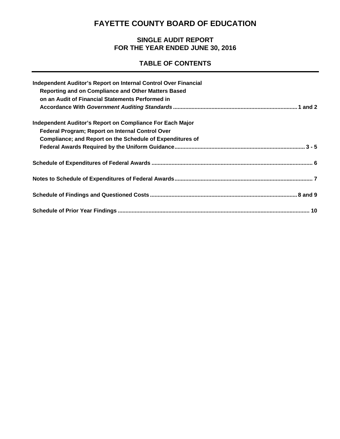## **SINGLE AUDIT REPORT FOR THE YEAR ENDED JUNE 30, 2016**

# **TABLE OF CONTENTS**

| Independent Auditor's Report on Internal Control Over Financial<br>Reporting and on Compliance and Other Matters Based<br>on an Audit of Financial Statements Performed in |  |
|----------------------------------------------------------------------------------------------------------------------------------------------------------------------------|--|
| Independent Auditor's Report on Compliance For Each Major                                                                                                                  |  |
| Federal Program; Report on Internal Control Over                                                                                                                           |  |
| <b>Compliance; and Report on the Schedule of Expenditures of</b>                                                                                                           |  |
|                                                                                                                                                                            |  |
|                                                                                                                                                                            |  |
|                                                                                                                                                                            |  |
|                                                                                                                                                                            |  |
|                                                                                                                                                                            |  |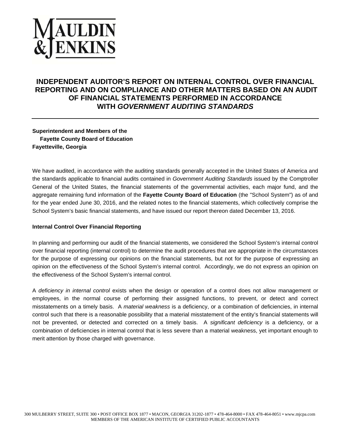# **AULDIN<br>ENKINS**

# **INDEPENDENT AUDITOR'S REPORT ON INTERNAL CONTROL OVER FINANCIAL REPORTING AND ON COMPLIANCE AND OTHER MATTERS BASED ON AN AUDIT OF FINANCIAL STATEMENTS PERFORMED IN ACCORDANCE WITH** *GOVERNMENT AUDITING STANDARDS*

**Superintendent and Members of the Fayette County Board of Education Fayetteville, Georgia** 

We have audited, in accordance with the auditing standards generally accepted in the United States of America and the standards applicable to financial audits contained in *Government Auditing Standards* issued by the Comptroller General of the United States, the financial statements of the governmental activities, each major fund, and the aggregate remaining fund information of the **Fayette County Board of Education** (the "School System") as of and for the year ended June 30, 2016, and the related notes to the financial statements, which collectively comprise the School System's basic financial statements, and have issued our report thereon dated December 13, 2016.

## **Internal Control Over Financial Reporting**

In planning and performing our audit of the financial statements, we considered the School System's internal control over financial reporting (internal control) to determine the audit procedures that are appropriate in the circumstances for the purpose of expressing our opinions on the financial statements, but not for the purpose of expressing an opinion on the effectiveness of the School System's internal control. Accordingly, we do not express an opinion on the effectiveness of the School System's internal control.

A *deficiency in internal control* exists when the design or operation of a control does not allow management or employees, in the normal course of performing their assigned functions, to prevent, or detect and correct misstatements on a timely basis. A *material weakness* is a deficiency, or a combination of deficiencies, in internal control such that there is a reasonable possibility that a material misstatement of the entity's financial statements will not be prevented, or detected and corrected on a timely basis. A *significant deficiency* is a deficiency, or a combination of deficiencies in internal control that is less severe than a material weakness, yet important enough to merit attention by those charged with governance.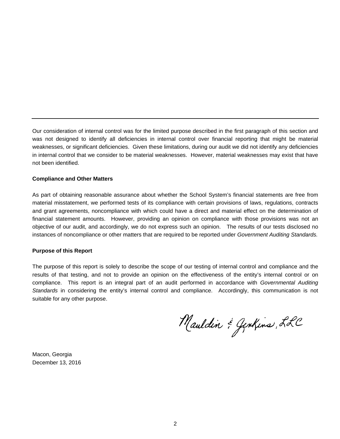Our consideration of internal control was for the limited purpose described in the first paragraph of this section and was not designed to identify all deficiencies in internal control over financial reporting that might be material weaknesses, or significant deficiencies. Given these limitations, during our audit we did not identify any deficiencies in internal control that we consider to be material weaknesses. However, material weaknesses may exist that have not been identified.

#### **Compliance and Other Matters**

As part of obtaining reasonable assurance about whether the School System's financial statements are free from material misstatement, we performed tests of its compliance with certain provisions of laws, regulations, contracts and grant agreements, noncompliance with which could have a direct and material effect on the determination of financial statement amounts. However, providing an opinion on compliance with those provisions was not an objective of our audit, and accordingly, we do not express such an opinion. The results of our tests disclosed no instances of noncompliance or other matters that are required to be reported under *Government Auditing Standards.* 

#### **Purpose of this Report**

The purpose of this report is solely to describe the scope of our testing of internal control and compliance and the results of that testing, and not to provide an opinion on the effectiveness of the entity's internal control or on compliance. This report is an integral part of an audit performed in accordance with *Governmental Auditing Standards* in considering the entity's internal control and compliance. Accordingly, this communication is not suitable for any other purpose.

Mauldin & Jenkins, LLC

Macon, Georgia December 13, 2016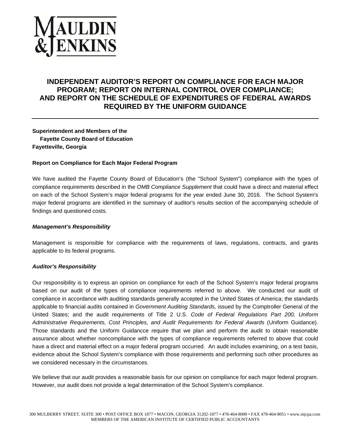

# **INDEPENDENT AUDITOR'S REPORT ON COMPLIANCE FOR EACH MAJOR PROGRAM; REPORT ON INTERNAL CONTROL OVER COMPLIANCE; AND REPORT ON THE SCHEDULE OF EXPENDITURES OF FEDERAL AWARDS REQUIRED BY THE UNIFORM GUIDANCE**

## **Superintendent and Members of the Fayette County Board of Education Fayetteville, Georgia**

## **Report on Compliance for Each Major Federal Program**

We have audited the Fayette County Board of Education's (the "School System") compliance with the types of compliance requirements described in the *OMB Compliance Supplement* that could have a direct and material effect on each of the School System's major federal programs for the year ended June 30, 2016. The School System's major federal programs are identified in the summary of auditor's results section of the accompanying schedule of findings and questioned costs.

#### *Management's Responsibility*

Management is responsible for compliance with the requirements of laws, regulations, contracts, and grants applicable to its federal programs.

#### *Auditor's Responsibility*

Our responsibility is to express an opinion on compliance for each of the School System's major federal programs based on our audit of the types of compliance requirements referred to above. We conducted our audit of compliance in accordance with auditing standards generally accepted in the United States of America; the standards applicable to financial audits contained in *Government Auditing Standards,* issued by the Comptroller General of the United States; and the audit requirements of Title 2 U.S. *Code of Federal Regulations Part 200, Uniform Administrative Requirements, Cost Principles, and Audit Requirements for Federal Awards* (Uniform Guidance). Those standards and the Uniform Guidancce require that we plan and perform the audit to obtain reasonable assurance about whether noncompliance with the types of compliance requirements referred to above that could have a direct and material effect on a major federal program occurred. An audit includes examining, on a test basis, evidence about the School System's compliance with those requirements and performing such other procedures as we considered necessary in the circumstances.

We believe that our audit provides a reasonable basis for our opinion on compliance for each major federal program. However, our audit does not provide a legal determination of the School System's compliance.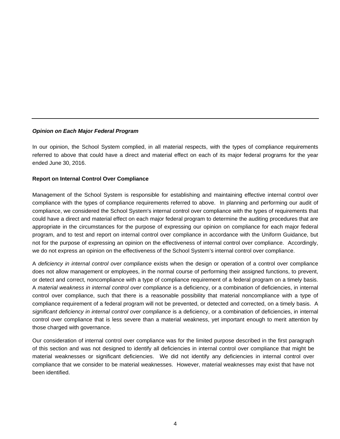#### *Opinion on Each Major Federal Program*

In our opinion, the School System complied, in all material respects, with the types of compliance requirements referred to above that could have a direct and material effect on each of its major federal programs for the year ended June 30, 2016.

#### **Report on Internal Control Over Compliance**

Management of the School System is responsible for establishing and maintaining effective internal control over compliance with the types of compliance requirements referred to above. In planning and performing our audit of compliance, we considered the School System's internal control over compliance with the types of requirements that could have a direct and material effect on each major federal program to determine the auditing procedures that are appropriate in the circumstances for the purpose of expressing our opinion on compliance for each major federal program, and to test and report on internal control over compliance in accordance with the Uniform Guidance, but not for the purpose of expressing an opinion on the effectiveness of internal control over compliance. Accordingly, we do not express an opinion on the effectiveness of the School System's internal control over compliance.

A *deficiency in internal control over compliance* exists when the design or operation of a control over compliance does not allow management or employees, in the normal course of performing their assigned functions, to prevent, or detect and correct, noncompliance with a type of compliance requirement of a federal program on a timely basis. A *material weakness in internal control over compliance* is a deficiency, or a combination of deficiencies, in internal control over compliance, such that there is a reasonable possibility that material noncompliance with a type of compliance requirement of a federal program will not be prevented, or detected and corrected, on a timely basis. A significant deficiency in internal control over compliance is a deficiency, or a combination of deficiencies, in internal control over compliance that is less severe than a material weakness, yet important enough to merit attention by those charged with governance.

Our consideration of internal control over compliance was for the limited purpose described in the first paragraph of this section and was not designed to identify all deficiencies in internal control over compliance that might be material weaknesses or significant deficiencies. We did not identify any deficiencies in internal control over compliance that we consider to be material weaknesses. However, material weaknesses may exist that have not been identified.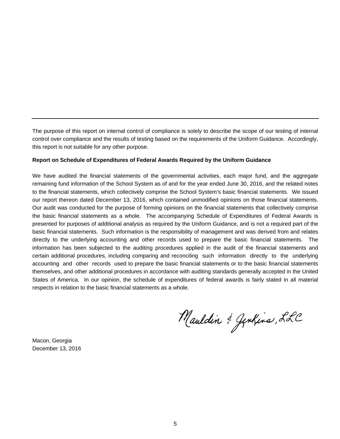The purpose of this report on internal control of compliance is solely to describe the scope of our testing of internal control over compliance and the results of testing based on the requirements of the Uniform Guidance. Accordingly, this report is not suitable for any other purpose.

#### **Report on Schedule of Expenditures of Federal Awards Required by the Uniform Guidance**

We have audited the financial statements of the governmental activities, each major fund, and the aggregate remaining fund information of the School System as of and for the year ended June 30, 2016, and the related notes to the financial statements, which collectively comprise the School System's basic financial statements. We issued our report thereon dated December 13, 2016, which contained unmodified opinions on those financial statements. Our audit was conducted for the purpose of forming opinions on the financial statements that collectively comprise the basic financial statements as a whole. The accompanying Schedule of Expenditures of Federal Awards is presented for purposes of additional analysis as required by the Uniform Guidance, and is not a required part of the basic financial statements. Such information is the responsibility of management and was derived from and relates directly to the underlying accounting and other records used to prepare the basic financial statements. The information has been subjected to the auditing procedures applied in the audit of the financial statements and certain additional procedures, including comparing and reconciling such information directly to the underlying accounting and other records used to prepare the basic financial statements or to the basic financial statements themselves, and other additional procedures in accordance with auditing standards generally accepted in the United States of America. In our opinion, the schedule of expenditures of federal awards is fairly stated in all material respects in relation to the basic financial statements as a whole.

Mauldin & Jenkins, LLC

Macon, Georgia December 13, 2016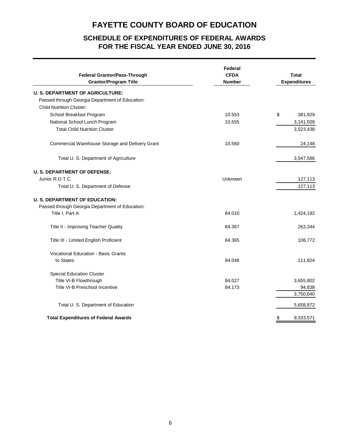# **SCHEDULE OF EXPENDITURES OF FEDERAL AWARDS FOR THE FISCAL YEAR ENDED JUNE 30, 2016**

| Federal Grantor/Pass-Through<br><b>Grantor/Program Title</b> | Federal<br><b>CFDA</b><br><b>Number</b> | <b>Total</b><br><b>Expenditures</b> |
|--------------------------------------------------------------|-----------------------------------------|-------------------------------------|
| <b>U. S. DEPARTMENT OF AGRICULTURE:</b>                      |                                         |                                     |
| Passed through Georgia Department of Education:              |                                         |                                     |
| <b>Child Nutrition Cluster:</b>                              |                                         |                                     |
| School Breakfast Program                                     | 10.553                                  | \$<br>381,929                       |
| National School Lunch Program                                | 10.555                                  | 3,141,509                           |
| <b>Total Child Nutrition Cluster</b>                         |                                         | 3,523,438                           |
| Commercial Warehouse Storage and Delivery Grant              | 10.560                                  | 24,148                              |
| Total U. S. Department of Agriculture                        |                                         | 3,547,586                           |
| <b>U. S. DEPARTMENT OF DEFENSE:</b>                          |                                         |                                     |
| Junior R.O.T.C.                                              | Unknown                                 | 127,113                             |
| Total U. S. Department of Defense                            |                                         | 127,113                             |
| <b>U. S. DEPARTMENT OF EDUCATION:</b>                        |                                         |                                     |
| Passed through Georgia Department of Education:              |                                         |                                     |
| Title I, Part A                                              | 84.010                                  | 1,424,192                           |
| Title II - Improving Teacher Quality                         | 84.367                                  | 263,344                             |
| Title III - Limited English Proficient                       | 84.365                                  | 108,772                             |
| <b>Vocational Education - Basic Grants</b>                   |                                         |                                     |
| to States                                                    | 84.048                                  | 111,924                             |
| <b>Special Education Cluster</b>                             |                                         |                                     |
| Title VI-B Flowthrough                                       | 84.027                                  | 3,655,802                           |
| Title VI-B Preschool Incentive                               | 84.173                                  | 94,838                              |
|                                                              |                                         | 3,750,640                           |
| Total U. S. Department of Education                          |                                         | 5,658,872                           |
| <b>Total Expenditures of Federal Awards</b>                  |                                         | \$<br>9,333,571                     |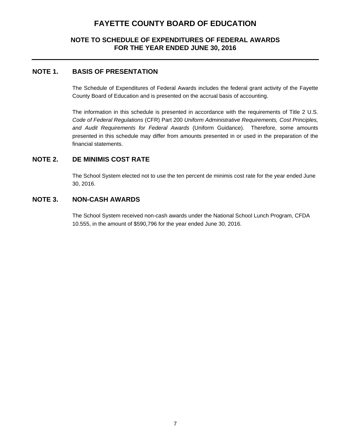## **NOTE TO SCHEDULE OF EXPENDITURES OF FEDERAL AWARDS FOR THE YEAR ENDED JUNE 30, 2016**

## **NOTE 1. BASIS OF PRESENTATION**

The Schedule of Expenditures of Federal Awards includes the federal grant activity of the Fayette County Board of Education and is presented on the accrual basis of accounting.

The information in this schedule is presented in accordance with the requirements of Title 2 U.S. *Code of Federal Regulations* (CFR) Part 200 *Uniform Administrative Requirements, Cost Principles, and Audit Requirements for Federal Awards* (Uniform Guidance)*.* Therefore, some amounts presented in this schedule may differ from amounts presented in or used in the preparation of the financial statements.

## **NOTE 2. DE MINIMIS COST RATE**

The School System elected not to use the ten percent de minimis cost rate for the year ended June 30, 2016.

## **NOTE 3. NON-CASH AWARDS**

The School System received non-cash awards under the National School Lunch Program, CFDA 10.555, in the amount of \$590,796 for the year ended June 30, 2016.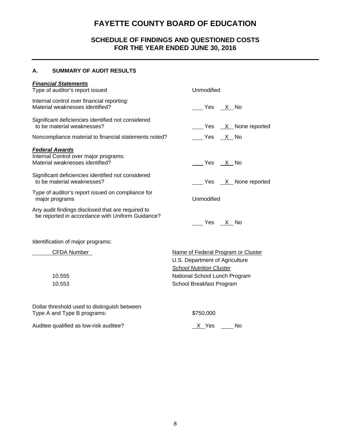## **SCHEDULE OF FINDINGS AND QUESTIONED COSTS FOR THE YEAR ENDED JUNE 30, 2016**

## **A. SUMMARY OF AUDIT RESULTS**

| <b>Financial Statements</b><br>Type of auditor's report issued                                        | Unmodified                         |
|-------------------------------------------------------------------------------------------------------|------------------------------------|
| Internal control over financial reporting:<br>Material weaknesses identified?                         | Yes X No                           |
| Significant deficiencies identified not considered<br>to be material weaknesses?                      | Yes X None reported                |
| Noncompliance material to financial statements noted?                                                 |                                    |
| <b>Federal Awards</b><br>Internal Control over major programs:<br>Material weaknesses identified?     | Yes X No                           |
| Significant deficiencies identified not considered<br>to be material weaknesses?                      | Yes X None reported                |
| Type of auditor's report issued on compliance for<br>major programs                                   | <b>Unmodified</b>                  |
| Any audit findings disclosed that are required to<br>be reported in accordance with Uniform Guidance? | Yes X No                           |
| Identification of major programs:                                                                     |                                    |
| <b>CFDA Number</b>                                                                                    | Name of Federal Program or Cluster |

 U.S. Department of Agriculture *School Nutrition Cluster* 10.555 National School Lunch Program 10.553 School Breakfast Program

Dollar threshold used to distinguish between Type A and Type B programs: \$750,000

Auditee qualified as low-risk auditee?  $\frac{X}{Y}$ es  $\frac{X}{Y}$  No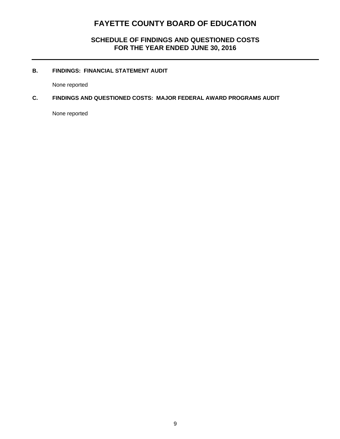## **SCHEDULE OF FINDINGS AND QUESTIONED COSTS FOR THE YEAR ENDED JUNE 30, 2016**

## **B. FINDINGS: FINANCIAL STATEMENT AUDIT**

None reported

## **C. FINDINGS AND QUESTIONED COSTS: MAJOR FEDERAL AWARD PROGRAMS AUDIT**

None reported